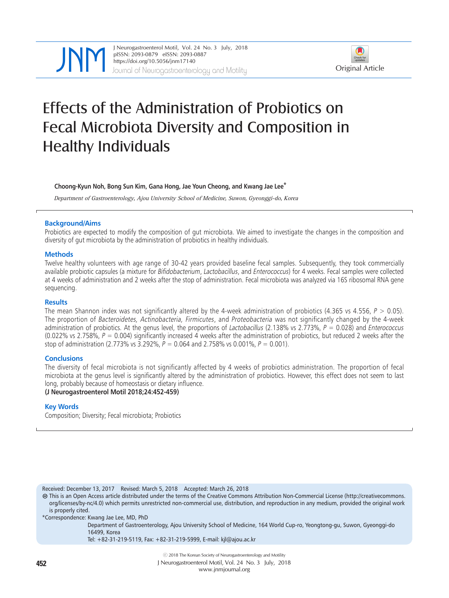



# Effects of the Administration of Probiotics on Fecal Microbiota Diversity and Composition in Healthy Individuals

**Choong-Kyun Noh, Bong Sun Kim, Gana Hong, Jae Youn Cheong, and Kwang Jae Lee\***

Department of Gastroenterology, Ajou University School of Medicine, Suwon, Gyeonggi-do, Korea

#### **Background/Aims**

Probiotics are expected to modify the composition of gut microbiota. We aimed to investigate the changes in the composition and diversity of gut microbiota by the administration of probiotics in healthy individuals.

#### **Methods**

Twelve healthy volunteers with age range of 30-42 years provided baseline fecal samples. Subsequently, they took commercially available probiotic capsules (a mixture for Bifidobacterium, Lactobacillus, and Enterococcus) for 4 weeks. Fecal samples were collected at 4 weeks of administration and 2 weeks after the stop of administration. Fecal microbiota was analyzed via 16S ribosomal RNA gene sequencing.

#### **Results**

The mean Shannon index was not significantly altered by the 4-week administration of probiotics (4.365 vs 4.556,  $P > 0.05$ ). The proportion of Bacteroidetes, Actinobacteria, Firmicutes, and Proteobacteria was not significantly changed by the 4-week administration of probiotics. At the genus level, the proportions of Lactobacillus (2.138% vs 2.773%,  $P = 0.028$ ) and *Enterococcus*  $(0.022\%$  vs 2.758%,  $P = 0.004$ ) significantly increased 4 weeks after the administration of probiotics, but reduced 2 weeks after the stop of administration (2.773% vs 3.292%,  $P = 0.064$  and 2.758% vs 0.001%,  $P = 0.001$ ).

#### **Conclusions**

The diversity of fecal microbiota is not significantly affected by 4 weeks of probiotics administration. The proportion of fecal microbiota at the genus level is significantly altered by the administration of probiotics. However, this effect does not seem to last long, probably because of homeostasis or dietary influence.

**(J Neurogastroenterol Motil 2018;24:452-459)**

#### **Key Words**

Composition; Diversity; Fecal microbiota; Probiotics

Received: December 13, 2017 Revised: March 5, 2018 Accepted: March 26, 2018

This is an Open Access article distributed under the terms of the Creative Commons Attribution Non-Commercial License (http://creativecommons. org/licenses/by-nc/4.0) which permits unrestricted non-commercial use, distribution, and reproduction in any medium, provided the original work is properly cited.

\*Correspondence: Kwang Jae Lee, MD, PhD

Department of Gastroenterology, Ajou University School of Medicine, 164 World Cup-ro, Yeongtong-gu, Suwon, Gyeonggi-do 16499, Korea

Tel: +82-31-219-5119, Fax: +82-31-219-5999, E-mail: kjl@ajou.ac.kr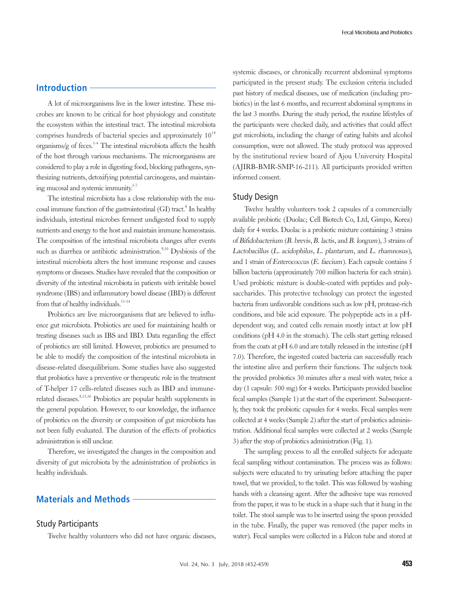## **Introduction**

A lot of microorganisms live in the lower intestine. These microbes are known to be critical for host physiology and constitute the ecosystem within the intestinal tract. The intestinal microbiota comprises hundreds of bacterial species and approximately  $10^{14}$ organisms/g of feces. $14$  The intestinal microbiota affects the health of the host through various mechanisms. The microorganisms are considered to play a role in digesting food, blocking pathogens, synthesizing nutrients, detoxifying potential carcinogens, and maintaining mucosal and systemic immunity.<sup>5-7</sup>

The intestinal microbiota has a close relationship with the mucosal immune function of the gastrointestinal (GI) tract.<sup>8</sup> In healthy individuals, intestinal microbes ferment undigested food to supply nutrients and energy to the host and maintain immune homeostasis. The composition of the intestinal microbiota changes after events such as diarrhea or antibiotic administration.<sup>9,10</sup> Dysbiosis of the intestinal microbiota alters the host immune response and causes symptoms or diseases. Studies have revealed that the composition or diversity of the intestinal microbiota in patients with irritable bowel syndrome (IBS) and inflammatory bowel disease (IBD) is different from that of healthy individuals.<sup>11-14</sup>

Probiotics are live microorganisms that are believed to influence gut microbiota. Probiotics are used for maintaining health or treating diseases such as IBS and IBD. Data regarding the effect of probiotics are still limited. However, probiotics are presumed to be able to modify the composition of the intestinal microbiota in disease-related disequilibrium. Some studies have also suggested that probiotics have a preventive or therapeutic role in the treatment of T-helper 17 cells-related diseases such as IBD and immunerelated diseases.<sup>8,15,16</sup> Probiotics are popular health supplements in the general population. However, to our knowledge, the influence of probiotics on the diversity or composition of gut microbiota has not been fully evaluated. The duration of the effects of probiotics administration is still unclear.

Therefore, we investigated the changes in the composition and diversity of gut microbiota by the administration of probiotics in healthy individuals.

# **Materials and Methods**

## Study Participants

Twelve healthy volunteers who did not have organic diseases,

systemic diseases, or chronically recurrent abdominal symptoms participated in the present study. The exclusion criteria included past history of medical diseases, use of medication (including probiotics) in the last 6 months, and recurrent abdominal symptoms in the last 3 months. During the study period, the routine lifestyles of the participants were checked daily, and activities that could affect gut microbiota, including the change of eating habits and alcohol consumption, were not allowed. The study protocol was approved by the institutional review board of Ajou University Hospital (AJIRB-BMR-SMP-16-211). All participants provided written informed consent.

#### Study Design

Twelve healthy volunteers took 2 capsules of a commercially available probiotic (Duolac; Cell Biotech Co, Ltd, Gimpo, Korea) daily for 4 weeks. Duolac is a probiotic mixture containing 3 strains of Bifidobacterium (B. brevis, B. lactis, and B. longum), 3 strains of Lactobacillus (L. acidophilus, L. plantarum, and L. rhamnosus), and 1 strain of Enterococcus (E. faecium). Each capsule contains 5 billion bacteria (approximately 700 million bacteria for each strain). Used probiotic mixture is double-coated with peptides and polysaccharides. This protective technology can protect the ingested bacteria from unfavorable conditions such as low pH, protease-rich conditions, and bile acid exposure. The polypeptide acts in a pHdependent way, and coated cells remain mostly intact at low pH conditions (pH 4.0 in the stomach). The cells start getting released from the coats at pH 6.0 and are totally released in the intestine (pH 7.0). Therefore, the ingested coated bacteria can successfully reach the intestine alive and perform their functions. The subjects took the provided probiotics 30 minutes after a meal with water, twice a day (1 capsule: 500 mg) for 4 weeks. Participants provided baseline fecal samples (Sample 1) at the start of the experiment. Subsequently, they took the probiotic capsules for 4 weeks. Fecal samples were collected at 4 weeks (Sample 2) after the start of probiotics administration. Additional fecal samples were collected at 2 weeks (Sample 3) after the stop of probiotics administration (Fig. 1).

The sampling process to all the enrolled subjects for adequate fecal sampling without contamination. The process was as follows: subjects were educated to try urinating before attaching the paper towel, that we provided, to the toilet. This was followed by washing hands with a cleansing agent. After the adhesive tape was removed from the paper, it was to be stuck in a shape such that it hung in the toilet. The stool sample was to be inserted using the spoon provided in the tube. Finally, the paper was removed (the paper melts in water). Fecal samples were collected in a Falcon tube and stored at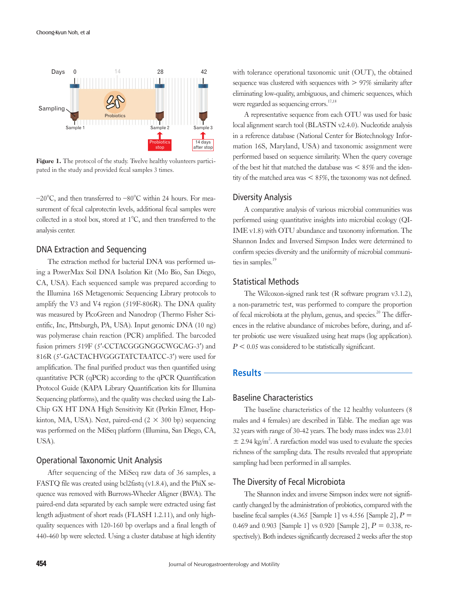

Figure 1. The protocol of the study. Twelve healthy volunteers participated in the study and provided fecal samples 3 times.

 $-20^{\circ}$ C, and then transferred to  $-80^{\circ}$ C within 24 hours. For measurement of fecal calprotectin levels, additional fecal samples were collected in a stool box, stored at 1°C, and then transferred to the analysis center.

## DNA Extraction and Sequencing

The extraction method for bacterial DNA was performed using a PowerMax Soil DNA Isolation Kit (Mo Bio, San Diego, CA, USA). Each sequenced sample was prepared according to the Illumina 16S Metagenomic Sequencing Library protocols to amplify the V3 and V4 region (519F-806R). The DNA quality was measured by PicoGreen and Nanodrop (Thermo Fisher Scientific, Inc, Pittsburgh, PA, USA). Input genomic DNA (10 ng) was polymerase chain reaction (PCR) amplified. The barcoded fusion primers 519F (5′-CCTACGGGNGGCWGCAG-3′) and 816R (5′-GACTACHVGGGTATCTAATCC-3′) were used for amplification. The final purified product was then quantified using quantitative PCR (qPCR) according to the qPCR Quantification Protocol Guide (KAPA Library Quantification kits for Illumina Sequencing platforms), and the quality was checked using the Lab-Chip GX HT DNA High Sensitivity Kit (Perkin Elmer, Hopkinton, MA, USA). Next, paired-end  $(2 \times 300$  bp) sequencing was performed on the MiSeq platform (Illumina, San Diego, CA, USA).

#### Operational Taxonomic Unit Analysis

After sequencing of the MiSeq raw data of 36 samples, a FASTQ file was created using bcl2fastq (v1.8.4), and the PhiX sequence was removed with Burrows-Wheeler Aligner (BWA). The paired-end data separated by each sample were extracted using fast length adjustment of short reads (FLASH 1.2.11), and only highquality sequences with 120-160 bp overlaps and a final length of 440-460 bp were selected. Using a cluster database at high identity

with tolerance operational taxonomic unit (OUT), the obtained sequence was clustered with sequences with  $> 97\%$  similarity after eliminating low-quality, ambiguous, and chimeric sequences, which were regarded as sequencing errors.<sup>17,18</sup>

A representative sequence from each OTU was used for basic local alignment search tool (BLASTN v2.4.0). Nucleotide analysis in a reference database (National Center for Biotechnology Information 16S, Maryland, USA) and taxonomic assignment were performed based on sequence similarity. When the query coverage of the best hit that matched the database was < 85% and the identity of the matched area was < 85%, the taxonomy was not defined.

#### Diversity Analysis

A comparative analysis of various microbial communities was performed using quantitative insights into microbial ecology (QI-IME v1.8) with OTU abundance and taxonomy information. The Shannon Index and Inversed Simpson Index were determined to confirm species diversity and the uniformity of microbial communities in samples.<sup>19</sup>

## Statistical Methods

The Wilcoxon-signed rank test (R software program v3.1.2), a non-parametric test, was performed to compare the proportion of fecal microbiota at the phylum, genus, and species.<sup>20</sup> The differences in the relative abundance of microbes before, during, and after probiotic use were visualized using heat maps (log application).  $P \leq 0.05$  was considered to be statistically significant.

# **Results**

## Baseline Characteristics

The baseline characteristics of the 12 healthy volunteers (8 males and 4 females) are described in Table. The median age was 32 years with range of 30-42 years. The body mass index was 23.01  $\pm$  2.94 kg/m<sup>2</sup>. A rarefaction model was used to evaluate the species richness of the sampling data. The results revealed that appropriate sampling had been performed in all samples.

## The Diversity of Fecal Microbiota

The Shannon index and inverse Simpson index were not significantly changed by the administration of probiotics, compared with the baseline fecal samples (4.365 [Sample 1] vs 4.556 [Sample 2],  $P =$ 0.469 and 0.903 [Sample 1] vs 0.920 [Sample 2],  $P = 0.338$ , respectively). Both indexes significantly decreased 2 weeks after the stop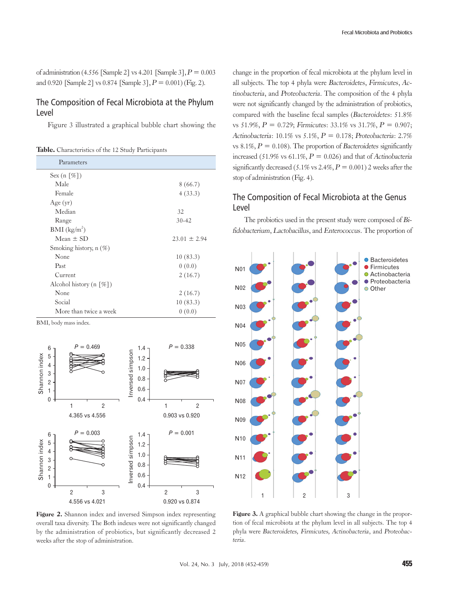of administration (4.556 [Sample 2] vs 4.201 [Sample 3],  $P = 0.003$ and 0.920 [Sample 2] vs 0.874 [Sample 3],  $P = 0.001$  (Fig. 2).

# The Composition of Fecal Microbiota at the Phylum Level

Figure 3 illustrated a graphical bubble chart showing the

Table. Characteristics of the 12 Study Participants

| Parameters                              |                  |
|-----------------------------------------|------------------|
| Sex $(n \lceil \% \rceil)$              |                  |
| Male                                    | 8(66.7)          |
| Female                                  | 4(33.3)          |
| Age(yr)                                 |                  |
| Median                                  | 32               |
| Range                                   | $30 - 42$        |
| $BMI$ (kg/m <sup>2</sup> )              |                  |
| Mean $\pm$ SD                           | $23.01 \pm 2.94$ |
| Smoking history, $n(\%)$                |                  |
| None                                    | 10(83.3)         |
| Past                                    | 0(0.0)           |
| Current                                 | 2(16.7)          |
| Alcohol history (n $\lceil \% \rceil$ ) |                  |
| None                                    | 2(16.7)          |
| Social                                  | 10(83.3)         |
| More than twice a week                  | 0(0.0)           |

BMI, body mass index.



change in the proportion of fecal microbiota at the phylum level in all subjects. The top 4 phyla were Bacteroidetes, Firmicutes, Actinobacteria, and Proteobacteria. The composition of the 4 phyla were not significantly changed by the administration of probiotics, compared with the baseline fecal samples (Bacteroidetes: 51.8% vs 51.9%,  $P = 0.729$ ; Firmicutes: 33.1% vs 31.7%,  $P = 0.907$ ; Actinobacteria: 10.1% vs 5.1%,  $P = 0.178$ ; Proteobacteria: 2.7% vs 8.1%,  $P = 0.108$ ). The proportion of Bacteroidetes significantly increased (51.9% vs 61.1%,  $P = 0.026$ ) and that of Actinobacteria significantly decreased (5.1% vs 2.4%,  $P = 0.001$ ) 2 weeks after the stop of administration (Fig. 4).

# The Composition of Fecal Microbiota at the Genus Level

The probiotics used in the present study were composed of Bifidobacterium, Lactobacillus, and Enterococcus. The proportion of



Figure 2. Shannon index and inversed Simpson index representing overall taxa diversity. The Both indexes were not significantly changed by the administration of probiotics, but significantly decreased 2 weeks after the stop of administration.

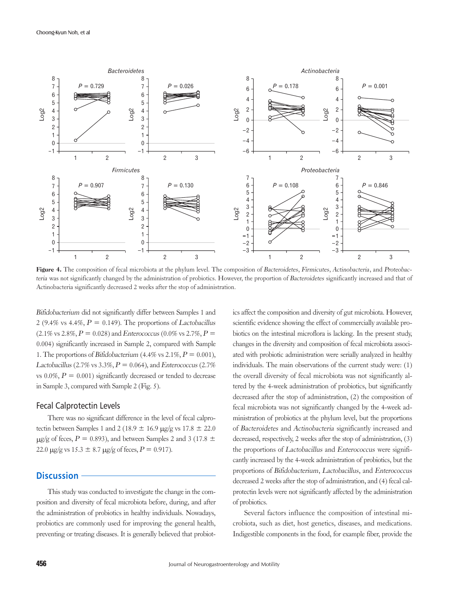

Figure 4. The composition of fecal microbiota at the phylum level. The composition of Bacteroidetes, Firmicutes, Actinobacteria, and Proteobacteria was not significantly changed by the administration of probiotics. However, the proportion of Bacteroidetes significantly increased and that of Actinobacteria significantly decreased 2 weeks after the stop of administration.

Bifidobacterium did not significantly differ between Samples 1 and 2 (9.4% vs 4.4%,  $P = 0.149$ ). The proportions of Lactobacillus  $(2.1\% \text{ vs } 2.8\%, P = 0.028)$  and *Enterococcus*  $(0.0\% \text{ vs } 2.7\%, P = 0.028)$ 0.004) significantly increased in Sample 2, compared with Sample 1. The proportions of Bifidobacterium (4.4% vs 2.1%,  $P = 0.001$ ), Lactobacillus (2.7% vs 3.3%,  $P = 0.064$ ), and Enterococcus (2.7%) vs  $0.0\%$ ,  $P = 0.001$ ) significantly decreased or tended to decrease in Sample 3, compared with Sample 2 (Fig. 5).

## Fecal Calprotectin Levels

There was no significant difference in the level of fecal calprotectin between Samples 1 and 2 (18.9  $\pm$  16.9  $\mu$ g/g vs 17.8  $\pm$  22.0  $\mu$ g/g of feces,  $P = 0.893$ ), and between Samples 2 and 3 (17.8  $\pm$ 22.0  $\mu$ g/g vs 15.3  $\pm$  8.7  $\mu$ g/g of feces,  $P = 0.917$ ).

# **Discussion**

This study was conducted to investigate the change in the composition and diversity of fecal microbiota before, during, and after the administration of probiotics in healthy individuals. Nowadays, probiotics are commonly used for improving the general health, preventing or treating diseases. It is generally believed that probiot-

ics affect the composition and diversity of gut microbiota. However, scientific evidence showing the effect of commercially available probiotics on the intestinal microflora is lacking. In the present study, changes in the diversity and composition of fecal microbiota associated with probiotic administration were serially analyzed in healthy individuals. The main observations of the current study were: (1) the overall diversity of fecal microbiota was not significantly altered by the 4-week administration of probiotics, but significantly decreased after the stop of administration, (2) the composition of fecal microbiota was not significantly changed by the 4-week administration of probiotics at the phylum level, but the proportions of Bacteroidetes and Actinobacteria significantly increased and decreased, respectively, 2 weeks after the stop of administration, (3) the proportions of Lactobacillus and Enterococcus were significantly increased by the 4-week administration of probiotics, but the proportions of Bifidobacterium, Lactobacillus, and Enterococcus decreased 2 weeks after the stop of administration, and (4) fecal calprotectin levels were not significantly affected by the administration of probiotics.

Several factors influence the composition of intestinal microbiota, such as diet, host genetics, diseases, and medications. Indigestible components in the food, for example fiber, provide the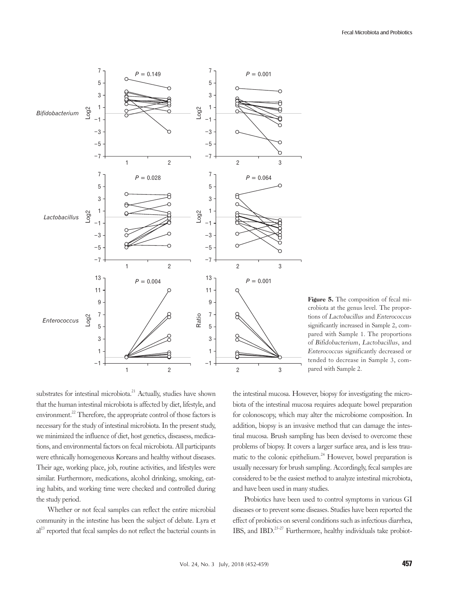

Figure 5. The composition of fecal microbiota at the genus level. The proportions of Lactobacillus and Enterococcus significantly increased in Sample 2, compared with Sample 1. The proportions of Bifidobacterium, Lactobacillus, and Enterococcus significantly decreased or tended to decrease in Sample 3, compared with Sample 2.

substrates for intestinal microbiota.<sup>21</sup> Actually, studies have shown that the human intestinal microbiota is affected by diet, lifestyle, and environment.<sup>22</sup> Therefore, the appropriate control of those factors is necessary for the study of intestinal microbiota. In the present study, we minimized the influence of diet, host genetics, diseasess, medications, and environmental factors on fecal microbiota. All participants were ethnically homogeneous Koreans and healthy without diseases. Their age, working place, job, routine activities, and lifestyles were similar. Furthermore, medications, alcohol drinking, smoking, eating habits, and working time were checked and controlled during the study period.

Whether or not fecal samples can reflect the entire microbial community in the intestine has been the subject of debate. Lyra et al<sup>23</sup> reported that fecal samples do not reflect the bacterial counts in the intestinal mucosa. However, biopsy for investigating the microbiota of the intestinal mucosa requires adequate bowel preparation for colonoscopy, which may alter the microbiome composition. In addition, biopsy is an invasive method that can damage the intestinal mucosa. Brush sampling has been devised to overcome these problems of biopsy. It covers a larger surface area, and is less traumatic to the colonic epithelium.<sup>24</sup> However, bowel preparation is usually necessary for brush sampling. Accordingly, fecal samples are considered to be the easiest method to analyze intestinal microbiota, and have been used in many studies.

Probiotics have been used to control symptoms in various GI diseases or to prevent some diseases. Studies have been reported the effect of probiotics on several conditions such as infectious diarrhea, IBS, and IBD.<sup>25-27</sup> Furthermore, healthy individuals take probiot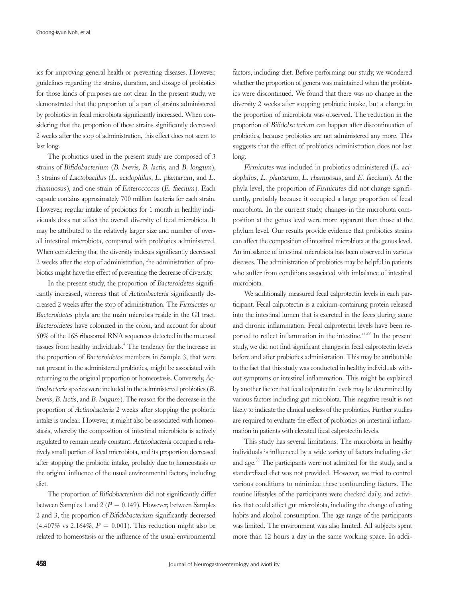ics for improving general health or preventing diseases. However, guidelines regarding the strains, duration, and dosage of probiotics for those kinds of purposes are not clear. In the present study, we demonstrated that the proportion of a part of strains administered by probiotics in fecal microbiota significantly increased. When considering that the proportion of these strains significantly decreased 2 weeks after the stop of administration, this effect does not seem to last long.

The probiotics used in the present study are composed of 3 strains of Bifidobacterium (B. brevis, B. lactis, and B. longum), 3 strains of Lactobacillus (L. acidophilus, L. plantarum, and L. rhamnosus), and one strain of Enterococcus (E. faecium). Each capsule contains approximately 700 million bacteria for each strain. However, regular intake of probiotics for 1 month in healthy individuals does not affect the overall diversity of fecal microbiota. It may be attributed to the relatively larger size and number of overall intestinal microbiota, compared with probiotics administered. When considering that the diversity indexes significantly decreased 2 weeks after the stop of administration, the administration of probiotics might have the effect of preventing the decrease of diversity.

In the present study, the proportion of Bacteroidetes significantly increased, whereas that of Actinobacteria significantly decreased 2 weeks after the stop of administration. The Firmicutes or Bacteroidetes phyla are the main microbes reside in the GI tract. Bacteroidetes have colonized in the colon, and account for about 50% of the 16S ribosomal RNA sequences detected in the mucosal tissues from healthy individuals.4 The tendency for the increase in the proportion of Bacteroidetes members in Sample 3, that were not present in the administered probiotics, might be associated with returning to the original proportion or homeostasis. Conversely, Actinobacteria species were included in the administered probiotics (B. brevis, B. lactis, and B. longum). The reason for the decrease in the proportion of Actinobacteria 2 weeks after stopping the probiotic intake is unclear. However, it might also be associated with homeostasis, whereby the composition of intestinal microbiota is actively regulated to remain nearly constant. Actinobacteria occupied a relatively small portion of fecal microbiota, and its proportion decreased after stopping the probiotic intake, probably due to homeostasis or the original influence of the usual environmental factors, including diet.

The proportion of Bifidobacterium did not significantly differ between Samples 1 and 2 ( $P = 0.149$ ). However, between Samples 2 and 3, the proportion of Bifidobacterium significantly decreased  $(4.407\% \text{ vs } 2.164\%, P = 0.001)$ . This reduction might also be related to homeostasis or the influence of the usual environmental

factors, including diet. Before performing our study, we wondered whether the proportion of genera was maintained when the probiotics were discontinued. We found that there was no change in the diversity 2 weeks after stopping probiotic intake, but a change in the proportion of microbiota was observed. The reduction in the proportion of Bifidobacterium can happen after discontinuation of probiotics, because probiotics are not administered any more. This suggests that the effect of probiotics administration does not last long.

Firmicutes was included in probiotics administered (L. acidophilus, L. plantarum, L. rhamnosus, and E. faecium). At the phyla level, the proportion of Firmicutes did not change significantly, probably because it occupied a large proportion of fecal microbiota. In the current study, changes in the microbiota composition at the genus level were more apparent than those at the phylum level. Our results provide evidence that probiotics strains can affect the composition of intestinal microbiota at the genus level. An imbalance of intestinal microbiota has been observed in various diseases. The administration of probiotics may be helpful in patients who suffer from conditions associated with imbalance of intestinal microbiota.

We additionally measured fecal calprotectin levels in each participant. Fecal calprotectin is a calcium-containing protein released into the intestinal lumen that is excreted in the feces during acute and chronic inflammation. Fecal calprotectin levels have been reported to reflect inflammation in the intestine.<sup>28,29</sup> In the present study, we did not find significant changes in fecal calprotectin levels before and after probiotics administration. This may be attributable to the fact that this study was conducted in healthy individuals without symptoms or intestinal inflammation. This might be explained by another factor that fecal calprotectin levels may be determined by various factors including gut microbiota. This negative result is not likely to indicate the clinical useless of the probiotics. Further studies are required to evaluate the effect of probiotics on intestinal inflammation in patients with elevated fecal calprotectin levels.

This study has several limitations. The microbiota in healthy individuals is influenced by a wide variety of factors including diet and age.30 The participants were not admitted for the study, and a standardized diet was not provided. However, we tried to control various conditions to minimize these confounding factors. The routine lifestyles of the participants were checked daily, and activities that could affect gut microbiota, including the change of eating habits and alcohol consumption. The age range of the participants was limited. The environment was also limited. All subjects spent more than 12 hours a day in the same working space. In addi